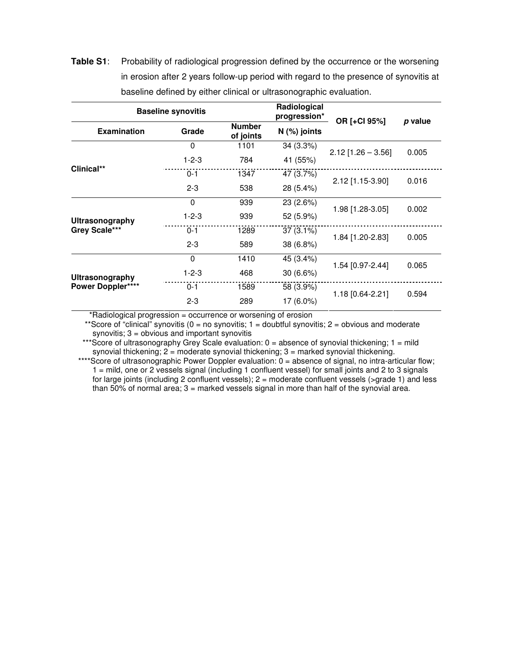**Table S1**: Probability of radiological progression defined by the occurrence or the worsening in erosion after 2 years follow-up period with regard to the presence of synovitis at baseline defined by either clinical or ultrasonographic evaluation.

| <b>Baseline synovitis</b>                   |              | Radiological<br>progression* |                |                      |         |
|---------------------------------------------|--------------|------------------------------|----------------|----------------------|---------|
| <b>Examination</b>                          | Grade        | <b>Number</b><br>of joints   | $N$ (%) joints | OR [+Cl 95%]         | p value |
| Clinical**                                  | $\mathbf{0}$ | 1101                         | 34 (3.3%)      | $2.12$ [1.26 - 3.56] | 0.005   |
|                                             | $1 - 2 - 3$  | 784                          | 41 (55%)       |                      |         |
|                                             | $0 - 1$      | 1347                         | 47 (3.7%)      | 2.12 [1.15-3.90]     | 0.016   |
|                                             | $2 - 3$      | 538                          | 28 (5.4%)      |                      |         |
| <b>Ultrasonography</b><br>Grey Scale***     | 0            | 939                          | 23 (2.6%)      | 1.98 [1.28-3.05]     | 0.002   |
|                                             | $1 - 2 - 3$  | 939                          | 52 (5.9%)      |                      |         |
|                                             | $0 - 1$      | 1289                         | $37(3.1\%)$    | 1.84 [1.20-2.83]     | 0.005   |
|                                             | $2 - 3$      | 589                          | 38 (6.8%)      |                      |         |
| Ultrasonography<br><b>Power Doppler****</b> | $\mathbf 0$  | 1410                         | 45 (3.4%)      | 1.54 [0.97-2.44]     | 0.065   |
|                                             | $1 - 2 - 3$  | 468                          | $30(6.6\%)$    |                      |         |
|                                             | $0 - 1$      | 1589                         | 58 (3.9%)      | 1.18 [0.64-2.21]     | 0.594   |
|                                             | $2 - 3$      | 289                          | 17 (6.0%)      |                      |         |

\*Radiological progression = occurrence or worsening of erosion

\*\*Score of "clinical" synovitis ( $0 = no$  synovitis;  $1 =$  doubtful synovitis;  $2 =$  obvious and moderate synovitis;  $3 =$  obvious and important synovitis

\*\*\*Score of ultrasonography Grey Scale evaluation:  $0 =$  absence of synovial thickening;  $1 =$  mild synovial thickening;  $2 =$  moderate synovial thickening;  $3 =$  marked synovial thickening.

\*\*\*\*Score of ultrasonographic Power Doppler evaluation: 0 = absence of signal, no intra-articular flow; 1 = mild, one or 2 vessels signal (including 1 confluent vessel) for small joints and 2 to 3 signals for large joints (including 2 confluent vessels); 2 = moderate confluent vessels (>grade 1) and less than 50% of normal area; 3 = marked vessels signal in more than half of the synovial area.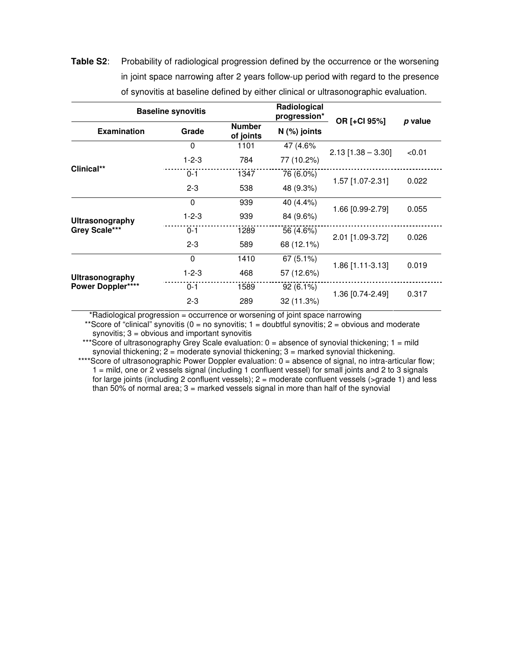**Table S2**: Probability of radiological progression defined by the occurrence or the worsening in joint space narrowing after 2 years follow-up period with regard to the presence of synovitis at baseline defined by either clinical or ultrasonographic evaluation.

| <b>Baseline synovitis</b>                   |             |                            | Radiological<br>progression* |                      |         |
|---------------------------------------------|-------------|----------------------------|------------------------------|----------------------|---------|
| <b>Examination</b>                          | Grade       | <b>Number</b><br>of joints | $N$ (%) joints               | OR [+Cl 95%]         | p value |
| Clinical**                                  | 0           | 1101                       | 47 (4.6%                     | $2.13$ [1.38 - 3.30] | < 0.01  |
|                                             | $1 - 2 - 3$ | 784                        | 77 (10.2%)                   |                      |         |
|                                             | $0 - 1$     | 1347                       | 76 (6.0%)                    | 1.57 [1.07-2.31]     | 0.022   |
|                                             | $2 - 3$     | 538                        | 48 (9.3%)                    |                      |         |
| Ultrasonography<br>Grey Scale***            | $\Omega$    | 939                        | 40 (4.4%)                    | 1.66 [0.99-2.79]     | 0.055   |
|                                             | $1 - 2 - 3$ | 939                        | 84 (9.6%)                    |                      |         |
|                                             | $0 - 1$     | 1289                       | 56 (4.6%)                    | 2.01 [1.09-3.72]     | 0.026   |
|                                             | $2 - 3$     | 589                        | 68 (12.1%)                   |                      |         |
| Ultrasonography<br><b>Power Doppler****</b> | $\Omega$    | 1410                       | 67(5.1%)                     | 1.86 [1.11-3.13]     | 0.019   |
|                                             | $1 - 2 - 3$ | 468                        | 57 (12.6%)                   |                      |         |
|                                             | $0 - 1$     | 1589                       | $92(6.1\%)$                  | 1.36 [0.74-2.49]     | 0.317   |
|                                             | $2 - 3$     | 289                        | 32 (11.3%)                   |                      |         |

\*Radiological progression = occurrence or worsening of joint space narrowing

\*\*Score of "clinical" synovitis ( $0 =$  no synovitis;  $1 =$  doubtful synovitis;  $2 =$  obvious and moderate synovitis;  $3 =$  obvious and important synovitis

\*\*\*Score of ultrasonography Grey Scale evaluation:  $0 =$  absence of synovial thickening;  $1 =$  mild synovial thickening;  $2 =$  moderate synovial thickening;  $3 =$  marked synovial thickening.

\*\*\*\*Score of ultrasonographic Power Doppler evaluation: 0 = absence of signal, no intra-articular flow; 1 = mild, one or 2 vessels signal (including 1 confluent vessel) for small joints and 2 to 3 signals for large joints (including 2 confluent vessels); 2 = moderate confluent vessels (>grade 1) and less than 50% of normal area; 3 = marked vessels signal in more than half of the synovial